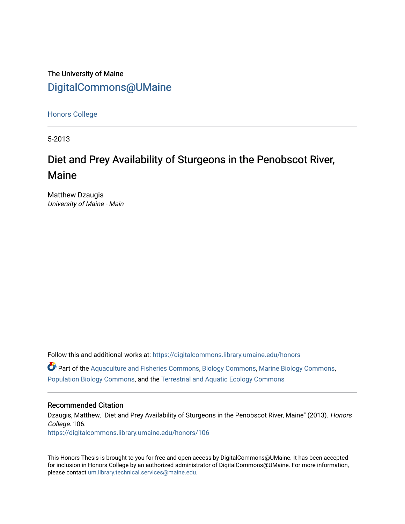The University of Maine [DigitalCommons@UMaine](https://digitalcommons.library.umaine.edu/)

[Honors College](https://digitalcommons.library.umaine.edu/honors)

5-2013

# Diet and Prey Availability of Sturgeons in the Penobscot River, Maine

Matthew Dzaugis University of Maine - Main

Follow this and additional works at: [https://digitalcommons.library.umaine.edu/honors](https://digitalcommons.library.umaine.edu/honors?utm_source=digitalcommons.library.umaine.edu%2Fhonors%2F106&utm_medium=PDF&utm_campaign=PDFCoverPages)   $\bullet$  Part of the [Aquaculture and Fisheries Commons](http://network.bepress.com/hgg/discipline/78?utm_source=digitalcommons.library.umaine.edu%2Fhonors%2F106&utm_medium=PDF&utm_campaign=PDFCoverPages), [Biology Commons](http://network.bepress.com/hgg/discipline/41?utm_source=digitalcommons.library.umaine.edu%2Fhonors%2F106&utm_medium=PDF&utm_campaign=PDFCoverPages), [Marine Biology Commons](http://network.bepress.com/hgg/discipline/1126?utm_source=digitalcommons.library.umaine.edu%2Fhonors%2F106&utm_medium=PDF&utm_campaign=PDFCoverPages), [Population Biology Commons,](http://network.bepress.com/hgg/discipline/19?utm_source=digitalcommons.library.umaine.edu%2Fhonors%2F106&utm_medium=PDF&utm_campaign=PDFCoverPages) and the [Terrestrial and Aquatic Ecology Commons](http://network.bepress.com/hgg/discipline/20?utm_source=digitalcommons.library.umaine.edu%2Fhonors%2F106&utm_medium=PDF&utm_campaign=PDFCoverPages)

#### Recommended Citation

Dzaugis, Matthew, "Diet and Prey Availability of Sturgeons in the Penobscot River, Maine" (2013). Honors College. 106. [https://digitalcommons.library.umaine.edu/honors/106](https://digitalcommons.library.umaine.edu/honors/106?utm_source=digitalcommons.library.umaine.edu%2Fhonors%2F106&utm_medium=PDF&utm_campaign=PDFCoverPages) 

This Honors Thesis is brought to you for free and open access by DigitalCommons@UMaine. It has been accepted for inclusion in Honors College by an authorized administrator of DigitalCommons@UMaine. For more information, please contact [um.library.technical.services@maine.edu.](mailto:um.library.technical.services@maine.edu)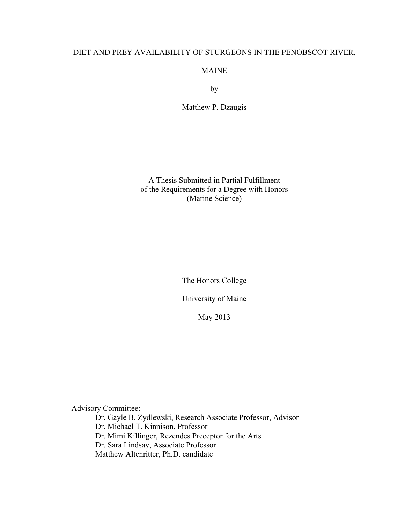# DIET AND PREY AVAILABILITY OF STURGEONS IN THE PENOBSCOT RIVER,

MAINE

by

Matthew P. Dzaugis

A Thesis Submitted in Partial Fulfillment of the Requirements for a Degree with Honors (Marine Science)

The Honors College

University of Maine

May 2013

Advisory Committee:

Dr. Gayle B. Zydlewski, Research Associate Professor, Advisor Dr. Michael T. Kinnison, Professor Dr. Mimi Killinger, Rezendes Preceptor for the Arts Dr. Sara Lindsay, Associate Professor Matthew Altenritter, Ph.D. candidate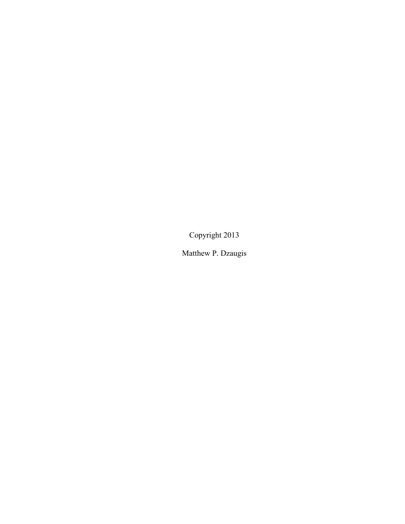Copyright 2013

Matthew P. Dzaugis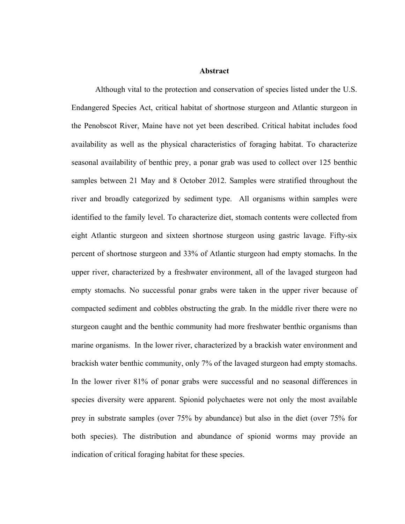### **Abstract**

Although vital to the protection and conservation of species listed under the U.S. Endangered Species Act, critical habitat of shortnose sturgeon and Atlantic sturgeon in the Penobscot River, Maine have not yet been described. Critical habitat includes food availability as well as the physical characteristics of foraging habitat. To characterize seasonal availability of benthic prey, a ponar grab was used to collect over 125 benthic samples between 21 May and 8 October 2012. Samples were stratified throughout the river and broadly categorized by sediment type. All organisms within samples were identified to the family level. To characterize diet, stomach contents were collected from eight Atlantic sturgeon and sixteen shortnose sturgeon using gastric lavage. Fifty-six percent of shortnose sturgeon and 33% of Atlantic sturgeon had empty stomachs. In the upper river, characterized by a freshwater environment, all of the lavaged sturgeon had empty stomachs. No successful ponar grabs were taken in the upper river because of compacted sediment and cobbles obstructing the grab. In the middle river there were no sturgeon caught and the benthic community had more freshwater benthic organisms than marine organisms. In the lower river, characterized by a brackish water environment and brackish water benthic community, only 7% of the lavaged sturgeon had empty stomachs. In the lower river 81% of ponar grabs were successful and no seasonal differences in species diversity were apparent. Spionid polychaetes were not only the most available prey in substrate samples (over 75% by abundance) but also in the diet (over 75% for both species). The distribution and abundance of spionid worms may provide an indication of critical foraging habitat for these species.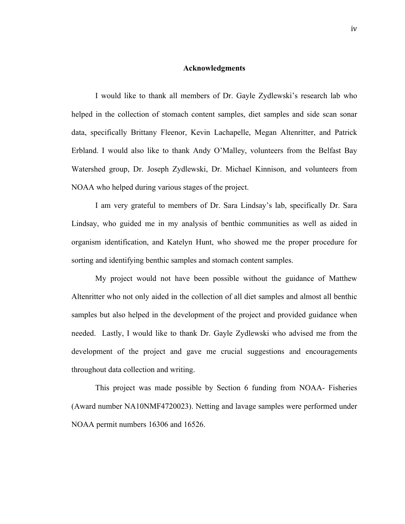#### **Acknowledgments**

I would like to thank all members of Dr. Gayle Zydlewski's research lab who helped in the collection of stomach content samples, diet samples and side scan sonar data, specifically Brittany Fleenor, Kevin Lachapelle, Megan Altenritter, and Patrick Erbland. I would also like to thank Andy O'Malley, volunteers from the Belfast Bay Watershed group, Dr. Joseph Zydlewski, Dr. Michael Kinnison, and volunteers from NOAA who helped during various stages of the project.

I am very grateful to members of Dr. Sara Lindsay's lab, specifically Dr. Sara Lindsay, who guided me in my analysis of benthic communities as well as aided in organism identification, and Katelyn Hunt, who showed me the proper procedure for sorting and identifying benthic samples and stomach content samples.

My project would not have been possible without the guidance of Matthew Altenritter who not only aided in the collection of all diet samples and almost all benthic samples but also helped in the development of the project and provided guidance when needed. Lastly, I would like to thank Dr. Gayle Zydlewski who advised me from the development of the project and gave me crucial suggestions and encouragements throughout data collection and writing.

This project was made possible by Section 6 funding from NOAA- Fisheries (Award number NA10NMF4720023). Netting and lavage samples were performed under NOAA permit numbers 16306 and 16526.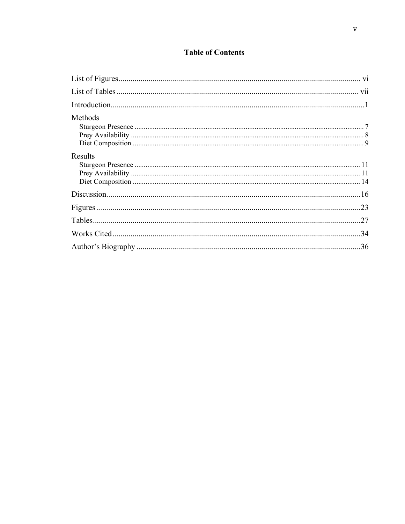# **Table of Contents**

| Methods |  |
|---------|--|
| Results |  |
|         |  |
|         |  |
|         |  |
|         |  |
|         |  |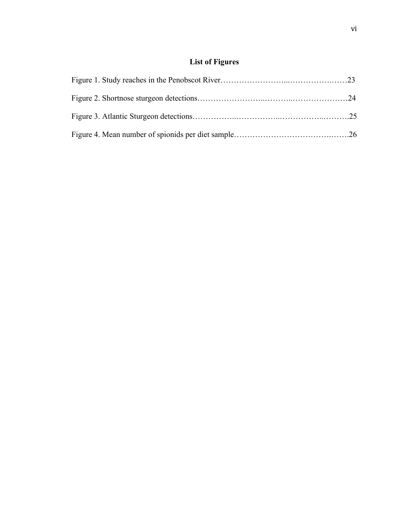# **List of Figures**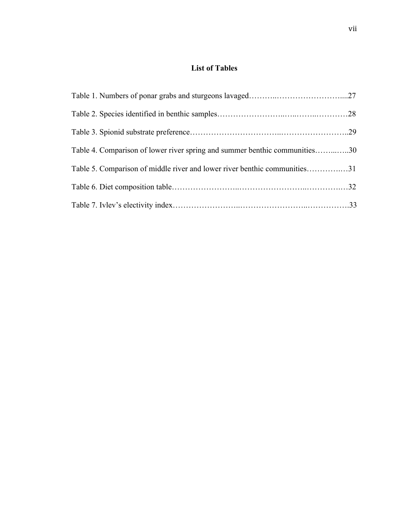# **List of Tables**

| Table 4. Comparison of lower river spring and summer benthic communities30 |  |
|----------------------------------------------------------------------------|--|
| Table 5. Comparison of middle river and lower river benthic communities31  |  |
|                                                                            |  |
|                                                                            |  |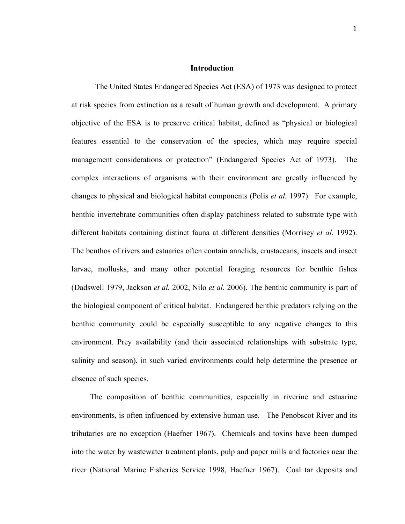### **Introduction**

The United States Endangered Species Act (ESA) of 1973 was designed to protect at risk species from extinction as a result of human growth and development. A primary objective of the ESA is to preserve critical habitat, defined as "physical or biological features essential to the conservation of the species, which may require special management considerations or protection" (Endangered Species Act of 1973). The complex interactions of organisms with their environment are greatly influenced by changes to physical and biological habitat components (Polis *et al.* 1997). For example, benthic invertebrate communities often display patchiness related to substrate type with different habitats containing distinct fauna at different densities (Morrisey *et al.* 1992). The benthos of rivers and estuaries often contain annelids, crustaceans, insects and insect larvae, mollusks, and many other potential foraging resources for benthic fishes (Dadswell 1979, Jackson *et al.* 2002, Nilo *et al.* 2006). The benthic community is part of the biological component of critical habitat. Endangered benthic predators relying on the benthic community could be especially susceptible to any negative changes to this environment. Prey availability (and their associated relationships with substrate type, salinity and season), in such varied environments could help determine the presence or absence of such species.

The composition of benthic communities, especially in riverine and estuarine environments, is often influenced by extensive human use. The Penobscot River and its tributaries are no exception (Haefner 1967). Chemicals and toxins have been dumped into the water by wastewater treatment plants, pulp and paper mills and factories near the river (National Marine Fisheries Service 1998, Haefner 1967). Coal tar deposits and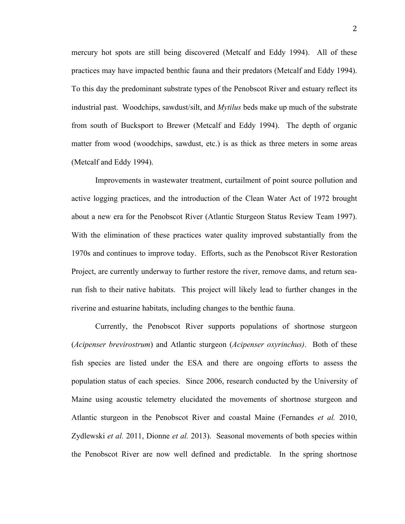mercury hot spots are still being discovered (Metcalf and Eddy 1994). All of these practices may have impacted benthic fauna and their predators (Metcalf and Eddy 1994). To this day the predominant substrate types of the Penobscot River and estuary reflect its industrial past. Woodchips, sawdust/silt, and *Mytilus* beds make up much of the substrate from south of Bucksport to Brewer (Metcalf and Eddy 1994). The depth of organic matter from wood (woodchips, sawdust, etc.) is as thick as three meters in some areas (Metcalf and Eddy 1994).

Improvements in wastewater treatment, curtailment of point source pollution and active logging practices, and the introduction of the Clean Water Act of 1972 brought about a new era for the Penobscot River (Atlantic Sturgeon Status Review Team 1997). With the elimination of these practices water quality improved substantially from the 1970s and continues to improve today. Efforts, such as the Penobscot River Restoration Project, are currently underway to further restore the river, remove dams, and return searun fish to their native habitats. This project will likely lead to further changes in the riverine and estuarine habitats, including changes to the benthic fauna.

Currently, the Penobscot River supports populations of shortnose sturgeon (*Acipenser brevirostrum*) and Atlantic sturgeon (*Acipenser oxyrinchus)*. Both of these fish species are listed under the ESA and there are ongoing efforts to assess the population status of each species. Since 2006, research conducted by the University of Maine using acoustic telemetry elucidated the movements of shortnose sturgeon and Atlantic sturgeon in the Penobscot River and coastal Maine (Fernandes *et al.* 2010, Zydlewski *et al.* 2011, Dionne *et al.* 2013). Seasonal movements of both species within the Penobscot River are now well defined and predictable. In the spring shortnose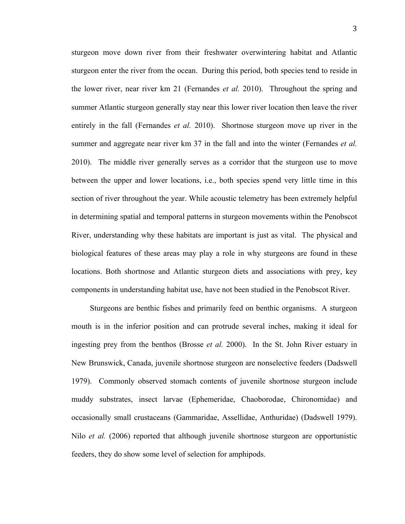sturgeon move down river from their freshwater overwintering habitat and Atlantic sturgeon enter the river from the ocean. During this period, both species tend to reside in the lower river, near river km 21 (Fernandes *et al.* 2010). Throughout the spring and summer Atlantic sturgeon generally stay near this lower river location then leave the river entirely in the fall (Fernandes *et al.* 2010). Shortnose sturgeon move up river in the summer and aggregate near river km 37 in the fall and into the winter (Fernandes *et al.* 2010). The middle river generally serves as a corridor that the sturgeon use to move between the upper and lower locations, i.e., both species spend very little time in this section of river throughout the year. While acoustic telemetry has been extremely helpful in determining spatial and temporal patterns in sturgeon movements within the Penobscot River, understanding why these habitats are important is just as vital. The physical and biological features of these areas may play a role in why sturgeons are found in these locations. Both shortnose and Atlantic sturgeon diets and associations with prey, key components in understanding habitat use, have not been studied in the Penobscot River.

Sturgeons are benthic fishes and primarily feed on benthic organisms. A sturgeon mouth is in the inferior position and can protrude several inches, making it ideal for ingesting prey from the benthos (Brosse *et al.* 2000). In the St. John River estuary in New Brunswick, Canada, juvenile shortnose sturgeon are nonselective feeders (Dadswell 1979). Commonly observed stomach contents of juvenile shortnose sturgeon include muddy substrates, insect larvae (Ephemeridae, Chaoborodae, Chironomidae) and occasionally small crustaceans (Gammaridae, Assellidae, Anthuridae) (Dadswell 1979). Nilo *et al.* (2006) reported that although juvenile shortnose sturgeon are opportunistic feeders, they do show some level of selection for amphipods.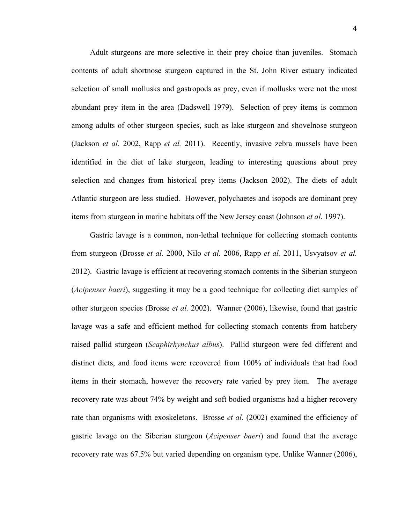Adult sturgeons are more selective in their prey choice than juveniles. Stomach contents of adult shortnose sturgeon captured in the St. John River estuary indicated selection of small mollusks and gastropods as prey, even if mollusks were not the most abundant prey item in the area (Dadswell 1979). Selection of prey items is common among adults of other sturgeon species, such as lake sturgeon and shovelnose sturgeon (Jackson *et al.* 2002, Rapp *et al.* 2011). Recently, invasive zebra mussels have been identified in the diet of lake sturgeon, leading to interesting questions about prey selection and changes from historical prey items (Jackson 2002). The diets of adult Atlantic sturgeon are less studied. However, polychaetes and isopods are dominant prey items from sturgeon in marine habitats off the New Jersey coast (Johnson *et al.* 1997).

Gastric lavage is a common, non-lethal technique for collecting stomach contents from sturgeon (Brosse *et al.* 2000, Nilo *et al.* 2006, Rapp *et al.* 2011, Usvyatsov *et al.* 2012). Gastric lavage is efficient at recovering stomach contents in the Siberian sturgeon (*Acipenser baeri*), suggesting it may be a good technique for collecting diet samples of other sturgeon species (Brosse *et al.* 2002). Wanner (2006), likewise, found that gastric lavage was a safe and efficient method for collecting stomach contents from hatchery raised pallid sturgeon (*Scaphirhynchus albus*). Pallid sturgeon were fed different and distinct diets, and food items were recovered from 100% of individuals that had food items in their stomach, however the recovery rate varied by prey item. The average recovery rate was about 74% by weight and soft bodied organisms had a higher recovery rate than organisms with exoskeletons. Brosse *et al.* (2002) examined the efficiency of gastric lavage on the Siberian sturgeon (*Acipenser baeri*) and found that the average recovery rate was 67.5% but varied depending on organism type. Unlike Wanner (2006),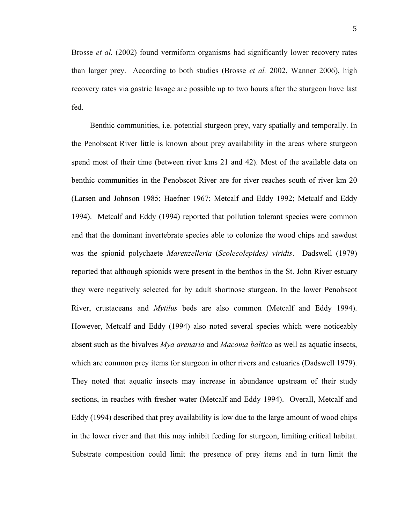5

Brosse *et al.* (2002) found vermiform organisms had significantly lower recovery rates than larger prey. According to both studies (Brosse *et al.* 2002, Wanner 2006), high recovery rates via gastric lavage are possible up to two hours after the sturgeon have last fed.

Benthic communities, i.e. potential sturgeon prey, vary spatially and temporally. In the Penobscot River little is known about prey availability in the areas where sturgeon spend most of their time (between river kms 21 and 42). Most of the available data on benthic communities in the Penobscot River are for river reaches south of river km 20 (Larsen and Johnson 1985; Haefner 1967; Metcalf and Eddy 1992; Metcalf and Eddy 1994). Metcalf and Eddy (1994) reported that pollution tolerant species were common and that the dominant invertebrate species able to colonize the wood chips and sawdust was the spionid polychaete *Marenzelleria* (*Scolecolepides) viridis*. Dadswell (1979) reported that although spionids were present in the benthos in the St. John River estuary they were negatively selected for by adult shortnose sturgeon. In the lower Penobscot River, crustaceans and *Mytilus* beds are also common (Metcalf and Eddy 1994). However, Metcalf and Eddy (1994) also noted several species which were noticeably absent such as the bivalves *Mya arenaria* and *Macoma baltica* as well as aquatic insects, which are common prey items for sturgeon in other rivers and estuaries (Dadswell 1979). They noted that aquatic insects may increase in abundance upstream of their study sections, in reaches with fresher water (Metcalf and Eddy 1994). Overall, Metcalf and Eddy (1994) described that prey availability is low due to the large amount of wood chips in the lower river and that this may inhibit feeding for sturgeon, limiting critical habitat. Substrate composition could limit the presence of prey items and in turn limit the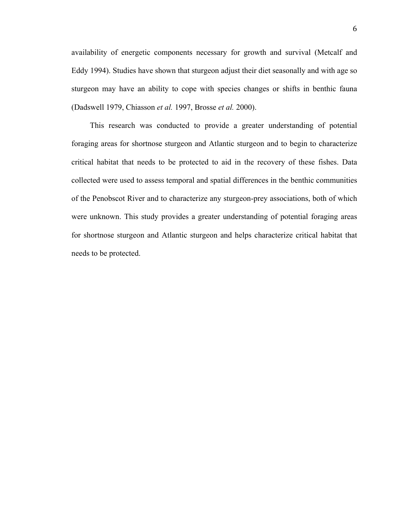availability of energetic components necessary for growth and survival (Metcalf and Eddy 1994). Studies have shown that sturgeon adjust their diet seasonally and with age so sturgeon may have an ability to cope with species changes or shifts in benthic fauna (Dadswell 1979, Chiasson *et al.* 1997, Brosse *et al.* 2000).

This research was conducted to provide a greater understanding of potential foraging areas for shortnose sturgeon and Atlantic sturgeon and to begin to characterize critical habitat that needs to be protected to aid in the recovery of these fishes. Data collected were used to assess temporal and spatial differences in the benthic communities of the Penobscot River and to characterize any sturgeon-prey associations, both of which were unknown. This study provides a greater understanding of potential foraging areas for shortnose sturgeon and Atlantic sturgeon and helps characterize critical habitat that needs to be protected.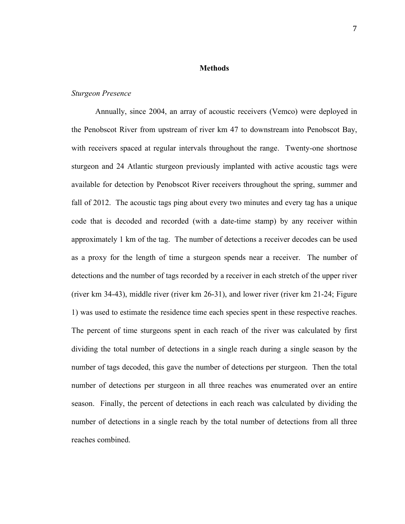#### **Methods**

## *Sturgeon Presence*

Annually, since 2004, an array of acoustic receivers (Vemco) were deployed in the Penobscot River from upstream of river km 47 to downstream into Penobscot Bay, with receivers spaced at regular intervals throughout the range. Twenty-one shortnose sturgeon and 24 Atlantic sturgeon previously implanted with active acoustic tags were available for detection by Penobscot River receivers throughout the spring, summer and fall of 2012. The acoustic tags ping about every two minutes and every tag has a unique code that is decoded and recorded (with a date-time stamp) by any receiver within approximately 1 km of the tag. The number of detections a receiver decodes can be used as a proxy for the length of time a sturgeon spends near a receiver. The number of detections and the number of tags recorded by a receiver in each stretch of the upper river (river km 34-43), middle river (river km 26-31), and lower river (river km 21-24; Figure 1) was used to estimate the residence time each species spent in these respective reaches. The percent of time sturgeons spent in each reach of the river was calculated by first dividing the total number of detections in a single reach during a single season by the number of tags decoded, this gave the number of detections per sturgeon. Then the total number of detections per sturgeon in all three reaches was enumerated over an entire season. Finally, the percent of detections in each reach was calculated by dividing the number of detections in a single reach by the total number of detections from all three reaches combined.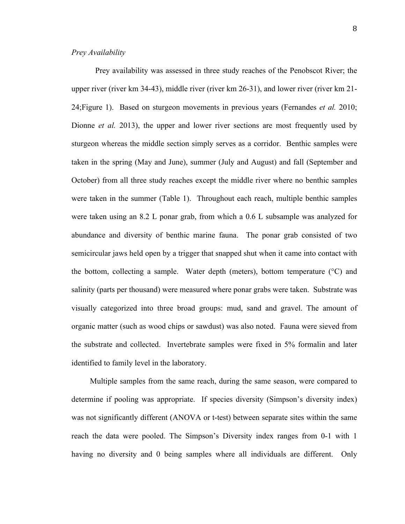# *Prey Availability*

Prey availability was assessed in three study reaches of the Penobscot River; the upper river (river km 34-43), middle river (river km 26-31), and lower river (river km 21- 24;Figure 1). Based on sturgeon movements in previous years (Fernandes *et al.* 2010; Dionne *et al.* 2013), the upper and lower river sections are most frequently used by sturgeon whereas the middle section simply serves as a corridor. Benthic samples were taken in the spring (May and June), summer (July and August) and fall (September and October) from all three study reaches except the middle river where no benthic samples were taken in the summer (Table 1). Throughout each reach, multiple benthic samples were taken using an 8.2 L ponar grab, from which a 0.6 L subsample was analyzed for abundance and diversity of benthic marine fauna. The ponar grab consisted of two semicircular jaws held open by a trigger that snapped shut when it came into contact with the bottom, collecting a sample. Water depth (meters), bottom temperature (°C) and salinity (parts per thousand) were measured where ponar grabs were taken. Substrate was visually categorized into three broad groups: mud, sand and gravel. The amount of organic matter (such as wood chips or sawdust) was also noted. Fauna were sieved from the substrate and collected. Invertebrate samples were fixed in 5% formalin and later identified to family level in the laboratory.

Multiple samples from the same reach, during the same season, were compared to determine if pooling was appropriate. If species diversity (Simpson's diversity index) was not significantly different (ANOVA or t-test) between separate sites within the same reach the data were pooled. The Simpson's Diversity index ranges from 0-1 with 1 having no diversity and 0 being samples where all individuals are different. Only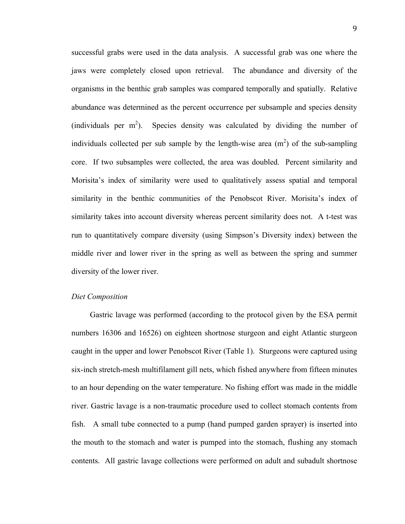successful grabs were used in the data analysis. A successful grab was one where the jaws were completely closed upon retrieval. The abundance and diversity of the organisms in the benthic grab samples was compared temporally and spatially. Relative abundance was determined as the percent occurrence per subsample and species density (individuals per  $m^2$ ). Species density was calculated by dividing the number of individuals collected per sub sample by the length-wise area  $(m<sup>2</sup>)$  of the sub-sampling core. If two subsamples were collected, the area was doubled. Percent similarity and Morisita's index of similarity were used to qualitatively assess spatial and temporal similarity in the benthic communities of the Penobscot River. Morisita's index of similarity takes into account diversity whereas percent similarity does not. A t-test was run to quantitatively compare diversity (using Simpson's Diversity index) between the middle river and lower river in the spring as well as between the spring and summer diversity of the lower river.

## *Diet Composition*

Gastric lavage was performed (according to the protocol given by the ESA permit numbers 16306 and 16526) on eighteen shortnose sturgeon and eight Atlantic sturgeon caught in the upper and lower Penobscot River (Table 1). Sturgeons were captured using six-inch stretch-mesh multifilament gill nets, which fished anywhere from fifteen minutes to an hour depending on the water temperature. No fishing effort was made in the middle river. Gastric lavage is a non-traumatic procedure used to collect stomach contents from fish. A small tube connected to a pump (hand pumped garden sprayer) is inserted into the mouth to the stomach and water is pumped into the stomach, flushing any stomach contents. All gastric lavage collections were performed on adult and subadult shortnose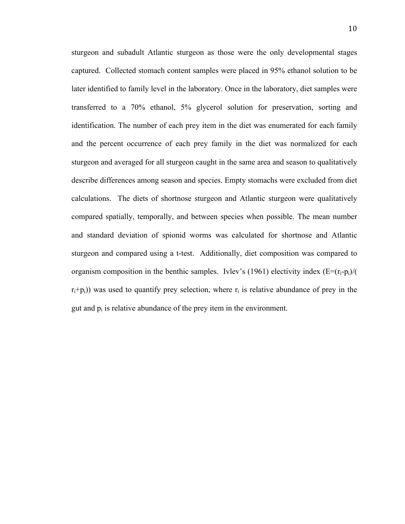sturgeon and subadult Atlantic sturgeon as those were the only developmental stages captured. Collected stomach content samples were placed in 95% ethanol solution to be later identified to family level in the laboratory. Once in the laboratory, diet samples were transferred to a 70% ethanol, 5% glycerol solution for preservation, sorting and identification. The number of each prey item in the diet was enumerated for each family and the percent occurrence of each prey family in the diet was normalized for each sturgeon and averaged for all sturgeon caught in the same area and season to qualitatively describe differences among season and species. Empty stomachs were excluded from diet calculations. The diets of shortnose sturgeon and Atlantic sturgeon were qualitatively compared spatially, temporally, and between species when possible. The mean number and standard deviation of spionid worms was calculated for shortnose and Atlantic sturgeon and compared using a t-test. Additionally, diet composition was compared to organism composition in the benthic samples. Ivlev's (1961) electivity index  $(E=(r_i-p_i)/($  $r_i+p_i$ ) was used to quantify prey selection, where  $r_i$  is relative abundance of prey in the gut and  $p_i$  is relative abundance of the prey item in the environment.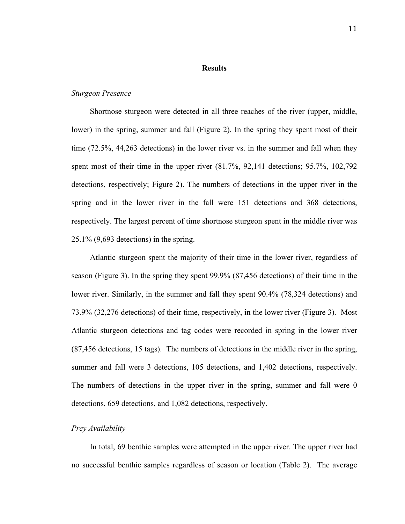#### **Results**

#### *Sturgeon Presence*

Shortnose sturgeon were detected in all three reaches of the river (upper, middle, lower) in the spring, summer and fall (Figure 2). In the spring they spent most of their time (72.5%, 44,263 detections) in the lower river vs. in the summer and fall when they spent most of their time in the upper river (81.7%, 92,141 detections; 95.7%, 102,792 detections, respectively; Figure 2). The numbers of detections in the upper river in the spring and in the lower river in the fall were 151 detections and 368 detections, respectively. The largest percent of time shortnose sturgeon spent in the middle river was 25.1% (9,693 detections) in the spring.

Atlantic sturgeon spent the majority of their time in the lower river, regardless of season (Figure 3). In the spring they spent 99.9% (87,456 detections) of their time in the lower river. Similarly, in the summer and fall they spent 90.4% (78,324 detections) and 73.9% (32,276 detections) of their time, respectively, in the lower river (Figure 3). Most Atlantic sturgeon detections and tag codes were recorded in spring in the lower river (87,456 detections, 15 tags). The numbers of detections in the middle river in the spring, summer and fall were 3 detections, 105 detections, and 1,402 detections, respectively. The numbers of detections in the upper river in the spring, summer and fall were 0 detections, 659 detections, and 1,082 detections, respectively.

#### *Prey Availability*

In total, 69 benthic samples were attempted in the upper river. The upper river had no successful benthic samples regardless of season or location (Table 2). The average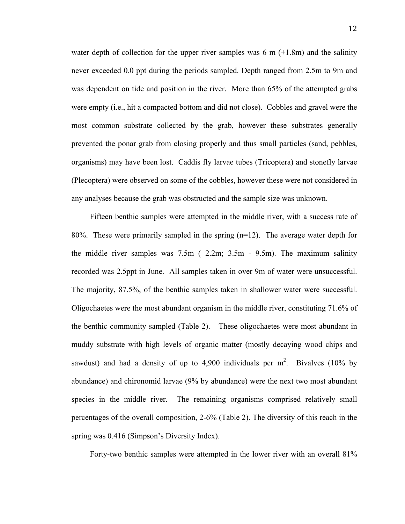water depth of collection for the upper river samples was 6 m  $(+1.8m)$  and the salinity never exceeded 0.0 ppt during the periods sampled. Depth ranged from 2.5m to 9m and was dependent on tide and position in the river. More than 65% of the attempted grabs were empty (i.e., hit a compacted bottom and did not close). Cobbles and gravel were the most common substrate collected by the grab, however these substrates generally prevented the ponar grab from closing properly and thus small particles (sand, pebbles, organisms) may have been lost. Caddis fly larvae tubes (Tricoptera) and stonefly larvae (Plecoptera) were observed on some of the cobbles, however these were not considered in any analyses because the grab was obstructed and the sample size was unknown.

Fifteen benthic samples were attempted in the middle river, with a success rate of 80%. These were primarily sampled in the spring (n=12). The average water depth for the middle river samples was  $7.5m$  ( $+2.2m$ ;  $3.5m$  -  $9.5m$ ). The maximum salinity recorded was 2.5ppt in June. All samples taken in over 9m of water were unsuccessful. The majority, 87.5%, of the benthic samples taken in shallower water were successful. Oligochaetes were the most abundant organism in the middle river, constituting 71.6% of the benthic community sampled (Table 2). These oligochaetes were most abundant in muddy substrate with high levels of organic matter (mostly decaying wood chips and sawdust) and had a density of up to 4,900 individuals per  $m^2$ . Bivalves (10% by abundance) and chironomid larvae (9% by abundance) were the next two most abundant species in the middle river. The remaining organisms comprised relatively small percentages of the overall composition, 2-6% (Table 2). The diversity of this reach in the spring was 0.416 (Simpson's Diversity Index).

Forty-two benthic samples were attempted in the lower river with an overall 81%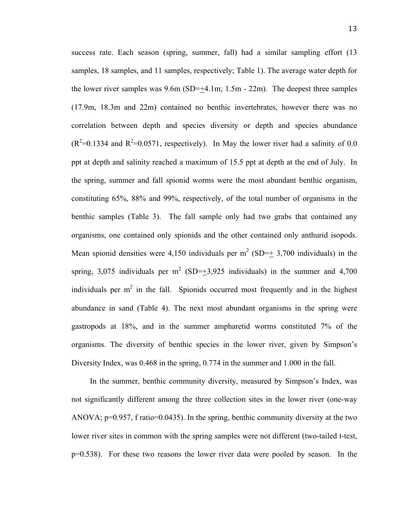success rate. Each season (spring, summer, fall) had a similar sampling effort (13 samples, 18 samples, and 11 samples, respectively; Table 1). The average water depth for the lower river samples was  $9.6m$  (SD=+4.1m; 1.5m - 22m). The deepest three samples (17.9m, 18.3m and 22m) contained no benthic invertebrates, however there was no correlation between depth and species diversity or depth and species abundance  $(R^2=0.1334$  and  $R^2=0.0571$ , respectively). In May the lower river had a salinity of 0.0 ppt at depth and salinity reached a maximum of 15.5 ppt at depth at the end of July. In the spring, summer and fall spionid worms were the most abundant benthic organism, constituting 65%, 88% and 99%, respectively, of the total number of organisms in the benthic samples (Table 3). The fall sample only had two grabs that contained any organisms, one contained only spionids and the other contained only anthurid isopods. Mean spionid densities were 4,150 individuals per  $m^2$  (SD= $\pm$  3,700 individuals) in the spring, 3,075 individuals per m<sup>2</sup> (SD= $\pm$ 3,925 individuals) in the summer and 4,700 individuals per  $m^2$  in the fall. Spionids occurred most frequently and in the highest abundance in sand (Table 4). The next most abundant organisms in the spring were gastropods at 18%, and in the summer ampharetid worms constituted 7% of the organisms. The diversity of benthic species in the lower river, given by Simpson's Diversity Index, was 0.468 in the spring, 0.774 in the summer and 1.000 in the fall.

In the summer, benthic community diversity, measured by Simpson's Index, was not significantly different among the three collection sites in the lower river (one-way ANOVA;  $p=0.957$ , f ratio=0.0435). In the spring, benthic community diversity at the two lower river sites in common with the spring samples were not different (two-tailed t-test, p=0.538). For these two reasons the lower river data were pooled by season. In the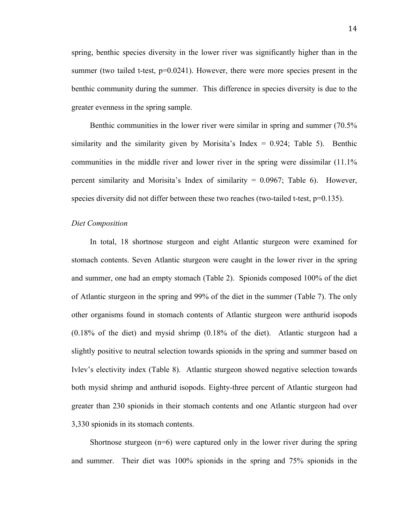spring, benthic species diversity in the lower river was significantly higher than in the summer (two tailed t-test,  $p=0.0241$ ). However, there were more species present in the benthic community during the summer. This difference in species diversity is due to the greater evenness in the spring sample.

Benthic communities in the lower river were similar in spring and summer (70.5% similarity and the similarity given by Morisita's Index  $= 0.924$ ; Table 5). Benthic communities in the middle river and lower river in the spring were dissimilar (11.1% percent similarity and Morisita's Index of similarity = 0.0967; Table 6). However, species diversity did not differ between these two reaches (two-tailed t-test, p=0.135).

#### *Diet Composition*

In total, 18 shortnose sturgeon and eight Atlantic sturgeon were examined for stomach contents. Seven Atlantic sturgeon were caught in the lower river in the spring and summer, one had an empty stomach (Table 2). Spionids composed 100% of the diet of Atlantic sturgeon in the spring and 99% of the diet in the summer (Table 7). The only other organisms found in stomach contents of Atlantic sturgeon were anthurid isopods (0.18% of the diet) and mysid shrimp (0.18% of the diet). Atlantic sturgeon had a slightly positive to neutral selection towards spionids in the spring and summer based on Ivlev's electivity index (Table 8). Atlantic sturgeon showed negative selection towards both mysid shrimp and anthurid isopods. Eighty-three percent of Atlantic sturgeon had greater than 230 spionids in their stomach contents and one Atlantic sturgeon had over 3,330 spionids in its stomach contents.

Shortnose sturgeon  $(n=6)$  were captured only in the lower river during the spring and summer. Their diet was 100% spionids in the spring and 75% spionids in the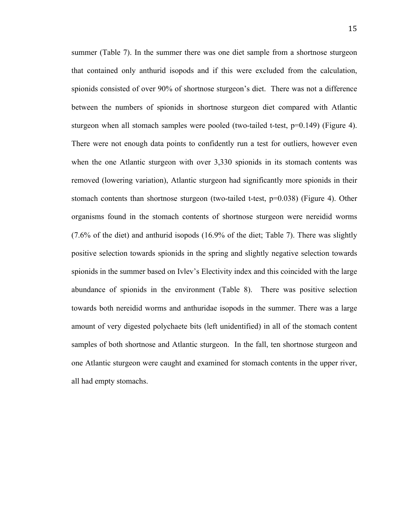summer (Table 7). In the summer there was one diet sample from a shortnose sturgeon that contained only anthurid isopods and if this were excluded from the calculation, spionids consisted of over 90% of shortnose sturgeon's diet. There was not a difference between the numbers of spionids in shortnose sturgeon diet compared with Atlantic sturgeon when all stomach samples were pooled (two-tailed t-test,  $p=0.149$ ) (Figure 4). There were not enough data points to confidently run a test for outliers, however even when the one Atlantic sturgeon with over 3,330 spionids in its stomach contents was removed (lowering variation), Atlantic sturgeon had significantly more spionids in their stomach contents than shortnose sturgeon (two-tailed t-test,  $p=0.038$ ) (Figure 4). Other organisms found in the stomach contents of shortnose sturgeon were nereidid worms (7.6% of the diet) and anthurid isopods (16.9% of the diet; Table 7). There was slightly positive selection towards spionids in the spring and slightly negative selection towards spionids in the summer based on Ivlev's Electivity index and this coincided with the large abundance of spionids in the environment (Table 8). There was positive selection towards both nereidid worms and anthuridae isopods in the summer. There was a large amount of very digested polychaete bits (left unidentified) in all of the stomach content samples of both shortnose and Atlantic sturgeon. In the fall, ten shortnose sturgeon and one Atlantic sturgeon were caught and examined for stomach contents in the upper river, all had empty stomachs.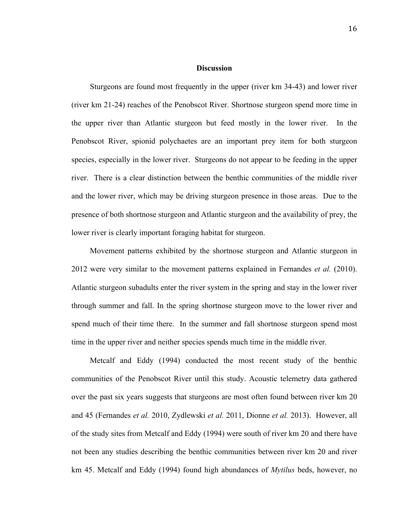#### **Discussion**

Sturgeons are found most frequently in the upper (river km 34-43) and lower river (river km 21-24) reaches of the Penobscot River. Shortnose sturgeon spend more time in the upper river than Atlantic sturgeon but feed mostly in the lower river. In the Penobscot River, spionid polychaetes are an important prey item for both sturgeon species, especially in the lower river. Sturgeons do not appear to be feeding in the upper river. There is a clear distinction between the benthic communities of the middle river and the lower river, which may be driving sturgeon presence in those areas. Due to the presence of both shortnose sturgeon and Atlantic sturgeon and the availability of prey, the lower river is clearly important foraging habitat for sturgeon.

Movement patterns exhibited by the shortnose sturgeon and Atlantic sturgeon in 2012 were very similar to the movement patterns explained in Fernandes *et al.* (2010). Atlantic sturgeon subadults enter the river system in the spring and stay in the lower river through summer and fall. In the spring shortnose sturgeon move to the lower river and spend much of their time there. In the summer and fall shortnose sturgeon spend most time in the upper river and neither species spends much time in the middle river.

Metcalf and Eddy (1994) conducted the most recent study of the benthic communities of the Penobscot River until this study. Acoustic telemetry data gathered over the past six years suggests that sturgeons are most often found between river km 20 and 45 (Fernandes *et al.* 2010, Zydlewski *et al.* 2011, Dionne *et al.* 2013). However, all of the study sites from Metcalf and Eddy (1994) were south of river km 20 and there have not been any studies describing the benthic communities between river km 20 and river km 45. Metcalf and Eddy (1994) found high abundances of *Mytilus* beds, however, no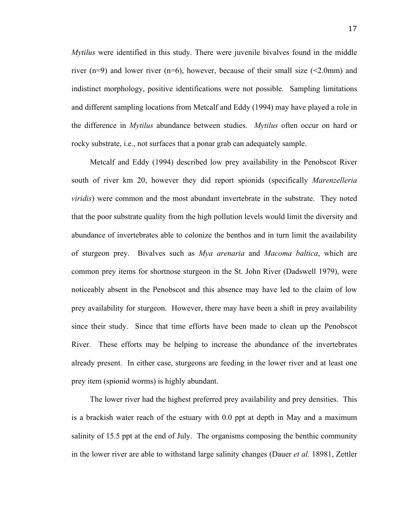*Mytilus* were identified in this study. There were juvenile bivalves found in the middle river (n=9) and lower river (n=6), however, because of their small size  $\leq 2.0$ mm) and indistinct morphology, positive identifications were not possible. Sampling limitations and different sampling locations from Metcalf and Eddy (1994) may have played a role in the difference in *Mytilus* abundance between studies. *Mytilus* often occur on hard or rocky substrate, i.e., not surfaces that a ponar grab can adequately sample.

Metcalf and Eddy (1994) described low prey availability in the Penobscot River south of river km 20, however they did report spionids (specifically *Marenzelleria viridis*) were common and the most abundant invertebrate in the substrate. They noted that the poor substrate quality from the high pollution levels would limit the diversity and abundance of invertebrates able to colonize the benthos and in turn limit the availability of sturgeon prey. Bivalves such as *Mya arenaria* and *Macoma baltica*, which are common prey items for shortnose sturgeon in the St. John River (Dadswell 1979), were noticeably absent in the Penobscot and this absence may have led to the claim of low prey availability for sturgeon. However, there may have been a shift in prey availability since their study. Since that time efforts have been made to clean up the Penobscot River. These efforts may be helping to increase the abundance of the invertebrates already present. In either case, sturgeons are feeding in the lower river and at least one prey item (spionid worms) is highly abundant.

The lower river had the highest preferred prey availability and prey densities. This is a brackish water reach of the estuary with 0.0 ppt at depth in May and a maximum salinity of 15.5 ppt at the end of July. The organisms composing the benthic community in the lower river are able to withstand large salinity changes (Dauer *et al.* 18981, Zettler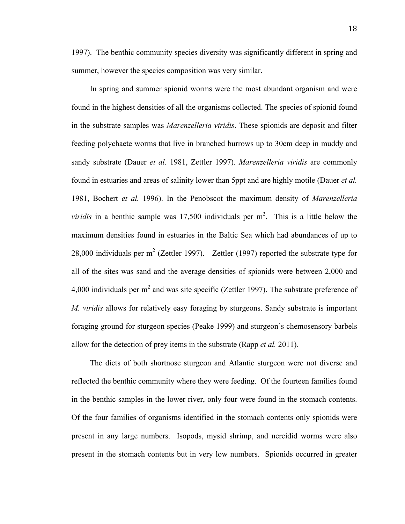1997). The benthic community species diversity was significantly different in spring and summer, however the species composition was very similar.

In spring and summer spionid worms were the most abundant organism and were found in the highest densities of all the organisms collected. The species of spionid found in the substrate samples was *Marenzelleria viridis*. These spionids are deposit and filter feeding polychaete worms that live in branched burrows up to 30cm deep in muddy and sandy substrate (Dauer *et al.* 1981, Zettler 1997). *Marenzelleria viridis* are commonly found in estuaries and areas of salinity lower than 5ppt and are highly motile (Dauer *et al.* 1981, Bochert *et al.* 1996). In the Penobscot the maximum density of *Marenzelleria viridis* in a benthic sample was  $17,500$  individuals per  $m^2$ . This is a little below the maximum densities found in estuaries in the Baltic Sea which had abundances of up to 28,000 individuals per  $m^2$  (Zettler 1997). Zettler (1997) reported the substrate type for all of the sites was sand and the average densities of spionids were between 2,000 and 4,000 individuals per  $m^2$  and was site specific (Zettler 1997). The substrate preference of *M. viridis* allows for relatively easy foraging by sturgeons. Sandy substrate is important foraging ground for sturgeon species (Peake 1999) and sturgeon's chemosensory barbels allow for the detection of prey items in the substrate (Rapp *et al.* 2011).

The diets of both shortnose sturgeon and Atlantic sturgeon were not diverse and reflected the benthic community where they were feeding. Of the fourteen families found in the benthic samples in the lower river, only four were found in the stomach contents. Of the four families of organisms identified in the stomach contents only spionids were present in any large numbers. Isopods, mysid shrimp, and nereidid worms were also present in the stomach contents but in very low numbers. Spionids occurred in greater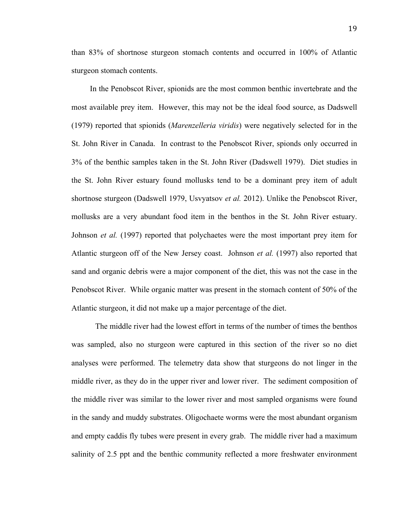than 83% of shortnose sturgeon stomach contents and occurred in 100% of Atlantic sturgeon stomach contents.

In the Penobscot River, spionids are the most common benthic invertebrate and the most available prey item. However, this may not be the ideal food source, as Dadswell (1979) reported that spionids (*Marenzelleria viridis*) were negatively selected for in the St. John River in Canada. In contrast to the Penobscot River, spionds only occurred in 3% of the benthic samples taken in the St. John River (Dadswell 1979). Diet studies in the St. John River estuary found mollusks tend to be a dominant prey item of adult shortnose sturgeon (Dadswell 1979, Usvyatsov *et al.* 2012). Unlike the Penobscot River, mollusks are a very abundant food item in the benthos in the St. John River estuary. Johnson *et al.* (1997) reported that polychaetes were the most important prey item for Atlantic sturgeon off of the New Jersey coast. Johnson *et al.* (1997) also reported that sand and organic debris were a major component of the diet, this was not the case in the Penobscot River. While organic matter was present in the stomach content of 50% of the Atlantic sturgeon, it did not make up a major percentage of the diet.

The middle river had the lowest effort in terms of the number of times the benthos was sampled, also no sturgeon were captured in this section of the river so no diet analyses were performed. The telemetry data show that sturgeons do not linger in the middle river, as they do in the upper river and lower river. The sediment composition of the middle river was similar to the lower river and most sampled organisms were found in the sandy and muddy substrates. Oligochaete worms were the most abundant organism and empty caddis fly tubes were present in every grab. The middle river had a maximum salinity of 2.5 ppt and the benthic community reflected a more freshwater environment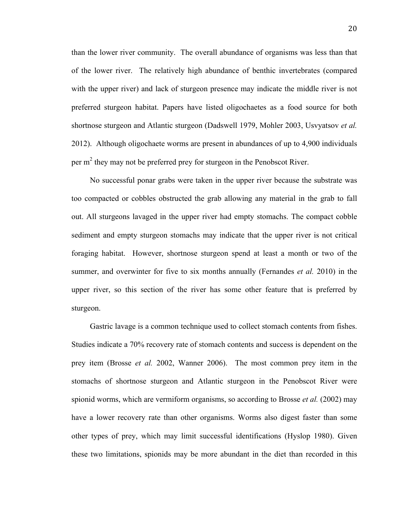than the lower river community. The overall abundance of organisms was less than that of the lower river. The relatively high abundance of benthic invertebrates (compared with the upper river) and lack of sturgeon presence may indicate the middle river is not preferred sturgeon habitat. Papers have listed oligochaetes as a food source for both shortnose sturgeon and Atlantic sturgeon (Dadswell 1979, Mohler 2003, Usvyatsov *et al.* 2012). Although oligochaete worms are present in abundances of up to 4,900 individuals per m<sup>2</sup> they may not be preferred prey for sturgeon in the Penobscot River.

No successful ponar grabs were taken in the upper river because the substrate was too compacted or cobbles obstructed the grab allowing any material in the grab to fall out. All sturgeons lavaged in the upper river had empty stomachs. The compact cobble sediment and empty sturgeon stomachs may indicate that the upper river is not critical foraging habitat. However, shortnose sturgeon spend at least a month or two of the summer, and overwinter for five to six months annually (Fernandes *et al.* 2010) in the upper river, so this section of the river has some other feature that is preferred by sturgeon.

Gastric lavage is a common technique used to collect stomach contents from fishes. Studies indicate a 70% recovery rate of stomach contents and success is dependent on the prey item (Brosse *et al.* 2002, Wanner 2006). The most common prey item in the stomachs of shortnose sturgeon and Atlantic sturgeon in the Penobscot River were spionid worms, which are vermiform organisms, so according to Brosse *et al.* (2002) may have a lower recovery rate than other organisms. Worms also digest faster than some other types of prey, which may limit successful identifications (Hyslop 1980). Given these two limitations, spionids may be more abundant in the diet than recorded in this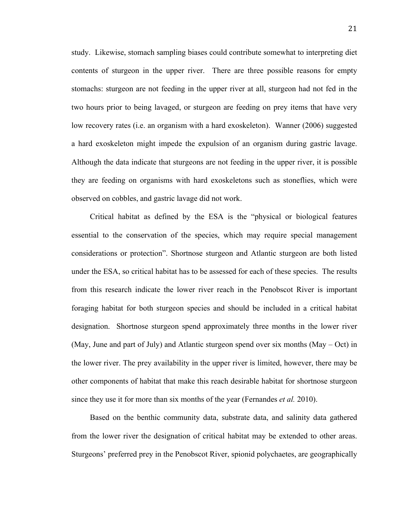study. Likewise, stomach sampling biases could contribute somewhat to interpreting diet contents of sturgeon in the upper river. There are three possible reasons for empty stomachs: sturgeon are not feeding in the upper river at all, sturgeon had not fed in the two hours prior to being lavaged, or sturgeon are feeding on prey items that have very low recovery rates (i.e. an organism with a hard exoskeleton). Wanner (2006) suggested a hard exoskeleton might impede the expulsion of an organism during gastric lavage. Although the data indicate that sturgeons are not feeding in the upper river, it is possible they are feeding on organisms with hard exoskeletons such as stoneflies, which were observed on cobbles, and gastric lavage did not work.

Critical habitat as defined by the ESA is the "physical or biological features essential to the conservation of the species, which may require special management considerations or protection". Shortnose sturgeon and Atlantic sturgeon are both listed under the ESA, so critical habitat has to be assessed for each of these species. The results from this research indicate the lower river reach in the Penobscot River is important foraging habitat for both sturgeon species and should be included in a critical habitat designation. Shortnose sturgeon spend approximately three months in the lower river (May, June and part of July) and Atlantic sturgeon spend over six months (May – Oct) in the lower river. The prey availability in the upper river is limited, however, there may be other components of habitat that make this reach desirable habitat for shortnose sturgeon since they use it for more than six months of the year (Fernandes *et al.* 2010).

Based on the benthic community data, substrate data, and salinity data gathered from the lower river the designation of critical habitat may be extended to other areas. Sturgeons' preferred prey in the Penobscot River, spionid polychaetes, are geographically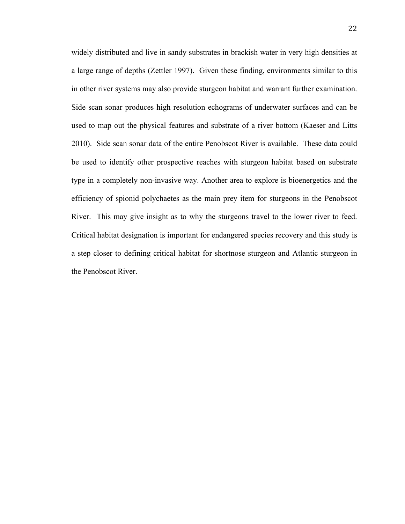widely distributed and live in sandy substrates in brackish water in very high densities at a large range of depths (Zettler 1997). Given these finding, environments similar to this in other river systems may also provide sturgeon habitat and warrant further examination. Side scan sonar produces high resolution echograms of underwater surfaces and can be used to map out the physical features and substrate of a river bottom (Kaeser and Litts 2010). Side scan sonar data of the entire Penobscot River is available. These data could be used to identify other prospective reaches with sturgeon habitat based on substrate type in a completely non-invasive way. Another area to explore is bioenergetics and the efficiency of spionid polychaetes as the main prey item for sturgeons in the Penobscot River. This may give insight as to why the sturgeons travel to the lower river to feed. Critical habitat designation is important for endangered species recovery and this study is a step closer to defining critical habitat for shortnose sturgeon and Atlantic sturgeon in the Penobscot River.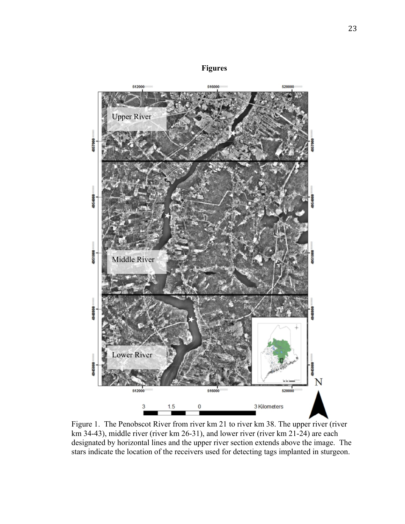



Figure 1. The Penobscot River from river km 21 to river km 38. The upper river (river km 34-43), middle river (river km 26-31), and lower river (river km 21-24) are each designated by horizontal lines and the upper river section extends above the image. The stars indicate the location of the receivers used for detecting tags implanted in sturgeon.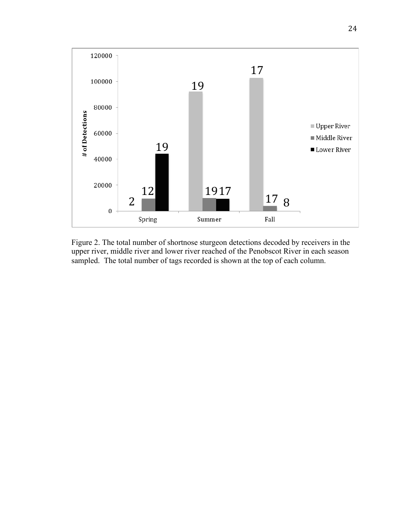

Figure 2. The total number of shortnose sturgeon detections decoded by receivers in the upper river, middle river and lower river reached of the Penobscot River in each season sampled. The total number of tags recorded is shown at the top of each column.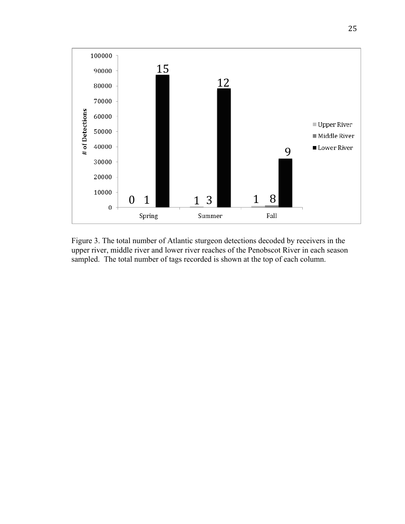

Figure 3. The total number of Atlantic sturgeon detections decoded by receivers in the upper river, middle river and lower river reaches of the Penobscot River in each season sampled. The total number of tags recorded is shown at the top of each column.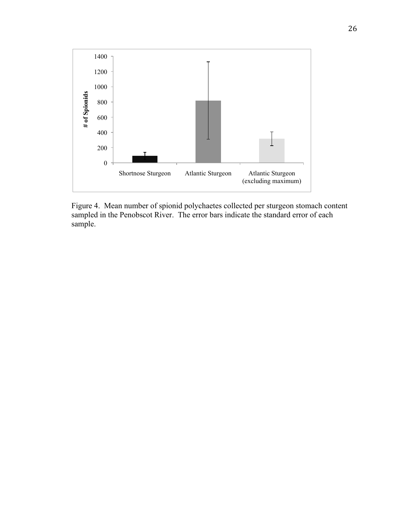

Figure 4. Mean number of spionid polychaetes collected per sturgeon stomach content sampled in the Penobscot River. The error bars indicate the standard error of each sample.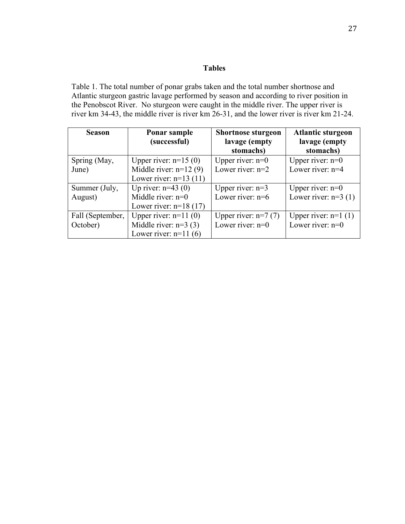# **Tables**

Table 1. The total number of ponar grabs taken and the total number shortnose and Atlantic sturgeon gastric lavage performed by season and according to river position in the Penobscot River. No sturgeon were caught in the middle river. The upper river is river km 34-43, the middle river is river km 26-31, and the lower river is river km 21-24.

| <b>Season</b>    | Ponar sample<br>(successful) | <b>Shortnose sturgeon</b><br>lavage (empty | <b>Atlantic sturgeon</b><br>lavage (empty |  |
|------------------|------------------------------|--------------------------------------------|-------------------------------------------|--|
|                  |                              | stomachs)                                  | stomachs)                                 |  |
| Spring (May,     | Upper river: $n=15(0)$       | Upper river: $n=0$                         | Upper river: $n=0$                        |  |
| June)            | Middle river: $n=12(9)$      | Lower river: $n=2$                         | Lower river: n=4                          |  |
|                  | Lower river: $n=13(11)$      |                                            |                                           |  |
| Summer (July,    | Up river: $n=43(0)$          | Upper river: $n=3$                         | Upper river: $n=0$                        |  |
| August)          | Middle river: $n=0$          | Lower river: $n=6$                         | Lower river: $n=3$ (1)                    |  |
|                  | Lower river: $n=18(17)$      |                                            |                                           |  |
| Fall (September, | Upper river: $n=11(0)$       | Upper river: $n=7$ (7)                     | Upper river: $n=1$ (1)                    |  |
| October)         | Middle river: $n=3$ (3)      | Lower river: $n=0$                         | Lower river: $n=0$                        |  |
|                  | Lower river: $n=11(6)$       |                                            |                                           |  |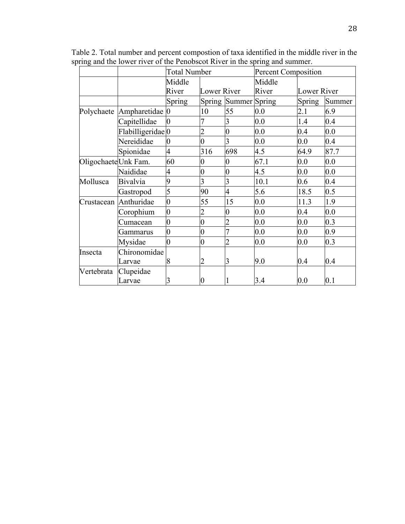|                     |                                | <b>Total Number</b> |                    |                      | <b>Percent Composition</b> |               |        |  |
|---------------------|--------------------------------|---------------------|--------------------|----------------------|----------------------------|---------------|--------|--|
|                     |                                | Middle              |                    |                      | Middle                     |               |        |  |
|                     |                                | River               | <b>Lower River</b> |                      | River<br>Lower River       |               |        |  |
|                     |                                | Spring              |                    | Spring Summer Spring |                            | <b>Spring</b> | Summer |  |
|                     | Polychaete Ampharetidae 0      |                     | 10                 | 55                   | 0.0                        | 2.1           | 6.9    |  |
|                     | Capitellidae                   | $\overline{0}$      | 7                  | 3                    | 0.0                        | 1.4           | 0.4    |  |
|                     | Flabilligeridae <sup>l</sup> 0 |                     | $\overline{2}$     | $\overline{0}$       | 0.0                        | 0.4           | 0.0    |  |
|                     | Nereididae                     | $\overline{0}$      | $\overline{0}$     | 3                    | 0.0                        | 0.0           | 0.4    |  |
|                     | Spionidae                      | 4                   | 316                | 698                  | 4.5                        | 64.9          | 87.7   |  |
| OligochaeteUnk Fam. |                                | 60                  | $\overline{0}$     | $\overline{0}$       | 67.1                       | 0.0           | 0.0    |  |
|                     | Naididae                       | $\overline{4}$      | $\overline{0}$     | $\overline{0}$       | 4.5                        | 0.0           | 0.0    |  |
| Mollusca            | <b>Bivalvia</b>                | 9                   | 3                  | 3                    | 10.1                       | 0.6           | 0.4    |  |
|                     | Gastropod                      | 5                   | 90                 | $\overline{4}$       | 5.6                        | 18.5          | 0.5    |  |
|                     | Crustacean Anthuridae          | $\overline{0}$      | 55                 | 15                   | 0.0                        | 11.3          | 1.9    |  |
|                     | Corophium                      | $\overline{0}$      | $\overline{2}$     | $\overline{0}$       | 0.0                        | 0.4           | 0.0    |  |
|                     | Cumacean                       | $\overline{0}$      | $\overline{0}$     |                      | 0.0                        | 0.0           | 0.3    |  |
|                     | Gammarus                       | 0                   | $\overline{0}$     | 7                    | 0.0                        | 0.0           | 0.9    |  |
|                     | Mysidae                        | $\overline{0}$      | $\overline{0}$     | $\overline{2}$       | 0.0                        | 0.0           | 0.3    |  |
| Insecta             | Chironomidae                   |                     |                    |                      |                            |               |        |  |
|                     | Larvae                         | 8                   | $\overline{2}$     | 3                    | 9.0                        | 0.4           | 0.4    |  |
| Vertebrata          | Clupeidae                      |                     |                    |                      |                            |               |        |  |
|                     | Larvae                         | 3                   | $\overline{0}$     |                      | 3.4                        | 0.0           | 0.1    |  |

Table 2. Total number and percent compostion of taxa identified in the middle river in the spring and the lower river of the Penobscot River in the spring and summer.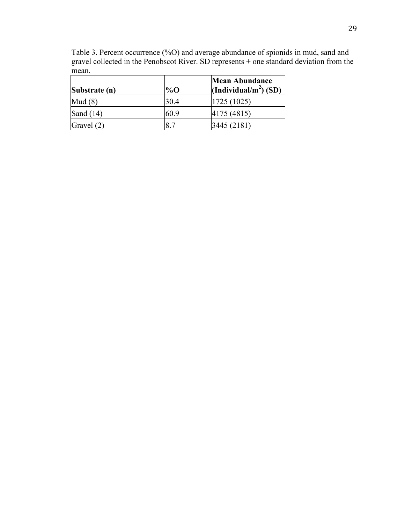| $\mu$ and conceled in the Ferroscot Kryer. SD represents $\mu$ one standard deviation<br>mean. |        |                                                            |  |  |  |  |
|------------------------------------------------------------------------------------------------|--------|------------------------------------------------------------|--|--|--|--|
| Substrate (n)                                                                                  | $\%$ O | <b>Mean Abundance</b><br>(Individual/m <sup>2</sup> ) (SD) |  |  |  |  |
| Mud(8)                                                                                         | 30.4   | 1725(1025)                                                 |  |  |  |  |
| Sand $(14)$                                                                                    | 60.9   | 4175 (4815)                                                |  |  |  |  |

Gravel (2) 8.7 3445 (2181)

Table 3. Percent occurrence (%O) and average abundance of spionids in mud, sand and gravel collected in the Penobscot River. SD represents  $\pm$  one standard deviation from the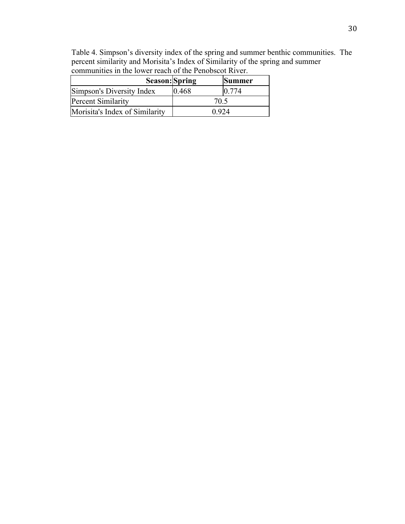| communities in the lower reach of the Penobscot River. |       |               |  |  |  |
|--------------------------------------------------------|-------|---------------|--|--|--|
| Season: Spring                                         |       | <b>Summer</b> |  |  |  |
| Simpson's Diversity Index                              | 0.468 | 0.774         |  |  |  |
| <b>Percent Similarity</b>                              | 70.5  |               |  |  |  |

Morisita's Index of Similarity 10.924

Table 4. Simpson's diversity index of the spring and summer benthic communities. The percent similarity and Morisita's Index of Similarity of the spring and summer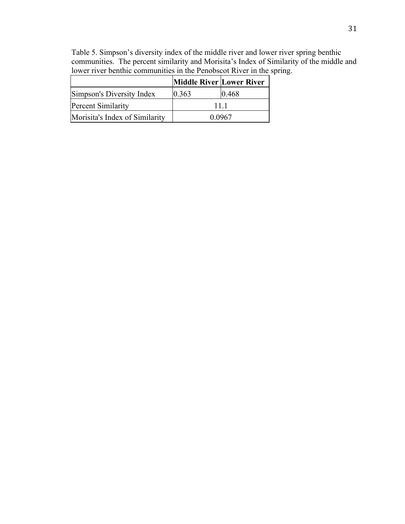Table 5. Simpson's diversity index of the middle river and lower river spring benthic communities. The percent similarity and Morisita's Index of Similarity of the middle and lower river benthic communities in the Penobscot River in the spring.

|                                | <b>Middle River Lower River</b> |       |  |
|--------------------------------|---------------------------------|-------|--|
| Simpson's Diversity Index      | 0.363                           | 0.468 |  |
| <b>Percent Similarity</b>      | 11 1                            |       |  |
| Morisita's Index of Similarity | 0.0967                          |       |  |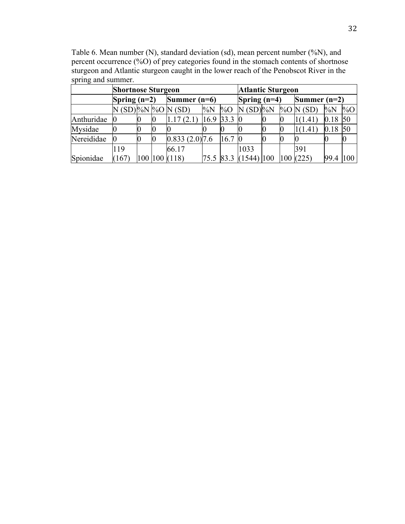|            | <b>Shortnose Sturgeon</b> |  |  |                       |             |                | <b>Atlantic Sturgeon</b> |                |     |               |        |        |
|------------|---------------------------|--|--|-----------------------|-------------|----------------|--------------------------|----------------|-----|---------------|--------|--------|
|            | Spring $(n=2)$            |  |  | Summer $(n=6)$        |             | Spring $(n=4)$ |                          | Summer $(n=2)$ |     |               |        |        |
|            |                           |  |  | N (SD) %N  %O [N (SD) | $\%N$       | $\%$ O         | $N(SD)\%N$               |                |     | $\%$ O N (SD) | $\%$ N | $\%$ O |
| Anthuridae | 0                         |  |  | 1.17(2.1)             | $16.9$ 33.3 |                | 0                        |                |     | 1(1.41)       | 0.18   | 50     |
| Mysidae    |                           |  |  |                       |             |                |                          | U              |     | 1(1.41        | 0.18   | 50     |
| Nereididae | Ю                         |  |  | $0.833(2.0)$ ]7.6     |             | 16.7           | Ю                        |                |     |               |        |        |
|            | 119                       |  |  | 66.17                 |             |                | 1033                     |                |     | 391           |        |        |
| Spionidae  | (167)                     |  |  | 100 100 (118)         |             | 75.5 83.3      | $(1544)$  100            |                | 100 | (225)         | 99.4   | 100    |

Table 6. Mean number (N), standard deviation (sd), mean percent number (%N), and percent occurrence (%O) of prey categories found in the stomach contents of shortnose sturgeon and Atlantic sturgeon caught in the lower reach of the Penobscot River in the spring and summer.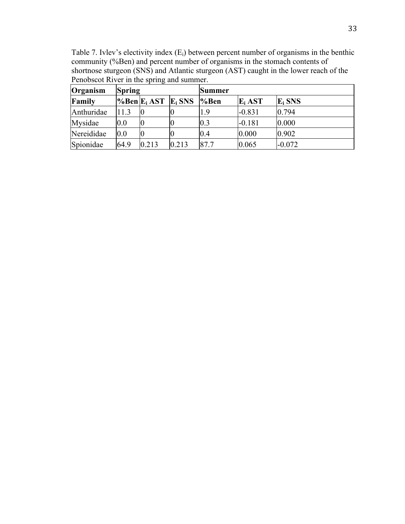Table 7. Ivlev's electivity index (Ei) between percent number of organisms in the benthic community (%Ben) and percent number of organisms in the stomach contents of shortnose sturgeon (SNS) and Atlantic sturgeon (AST) caught in the lower reach of the Penobscot River in the spring and summer.  $\overline{a}$ 

| Organism   | <b>Spring</b> |                                                |       | <b>Summer</b> |           |           |  |  |
|------------|---------------|------------------------------------------------|-------|---------------|-----------|-----------|--|--|
| Family     |               | $\%$ Ben E <sub>i</sub> AST E <sub>i</sub> SNS |       | %Ben          | $E_i$ AST | $E_i$ SNS |  |  |
| Anthuridae | 11.3          |                                                |       | 1.9           | $-0.831$  | 0.794     |  |  |
| Mysidae    | 0.0           |                                                |       | 0.3           | $-0.181$  | 0.000     |  |  |
| Nereididae | 0.0           |                                                |       | 0.4           | 0.000     | 0.902     |  |  |
| Spionidae  | 64.9          | 0.213                                          | 0.213 | 87.7          | 0.065     | $-0.072$  |  |  |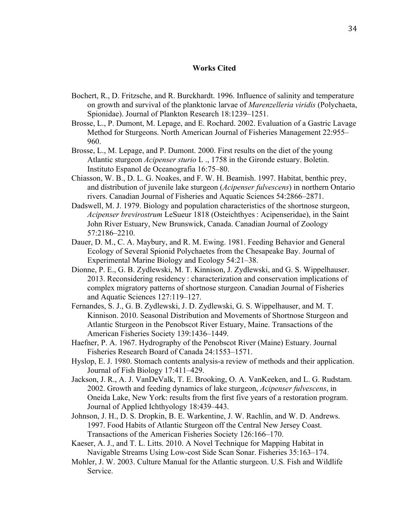## **Works Cited**

- Bochert, R., D. Fritzsche, and R. Burckhardt. 1996. Influence of salinity and temperature on growth and survival of the planktonic larvae of *Marenzelleria viridis* (Polychaeta, Spionidae). Journal of Plankton Research 18:1239–1251.
- Brosse, L., P. Dumont, M. Lepage, and E. Rochard. 2002. Evaluation of a Gastric Lavage Method for Sturgeons. North American Journal of Fisheries Management 22:955– 960.
- Brosse, L., M. Lepage, and P. Dumont. 2000. First results on the diet of the young Atlantic sturgeon *Acipenser sturio* L ., 1758 in the Gironde estuary. Boletin. Instituto Espanol de Oceanografia 16:75–80.
- Chiasson, W. B., D. L. G. Noakes, and F. W. H. Beamish. 1997. Habitat, benthic prey, and distribution of juvenile lake sturgeon (*Acipenser fulvescens*) in northern Ontario rivers. Canadian Journal of Fisheries and Aquatic Sciences 54:2866–2871.
- Dadswell, M. J. 1979. Biology and population characteristics of the shortnose sturgeon, *Acipenser brevirostrum* LeSueur 1818 (Osteichthyes : Acipenseridae), in the Saint John River Estuary, New Brunswick, Canada. Canadian Journal of Zoology 57:2186–2210.
- Dauer, D. M., C. A. Maybury, and R. M. Ewing. 1981. Feeding Behavior and General Ecology of Several Spionid Polychaetes from the Chesapeake Bay. Journal of Experimental Marine Biology and Ecology 54:21–38.
- Dionne, P. E., G. B. Zydlewski, M. T. Kinnison, J. Zydlewski, and G. S. Wippelhauser. 2013. Reconsidering residency : characterization and conservation implications of complex migratory patterns of shortnose sturgeon. Canadian Journal of Fisheries and Aquatic Sciences 127:119–127.
- Fernandes, S. J., G. B. Zydlewski, J. D. Zydlewski, G. S. Wippelhauser, and M. T. Kinnison. 2010. Seasonal Distribution and Movements of Shortnose Sturgeon and Atlantic Sturgeon in the Penobscot River Estuary, Maine. Transactions of the American Fisheries Society 139:1436–1449.
- Haefner, P. A. 1967. Hydrography of the Penobscot River (Maine) Estuary. Journal Fisheries Research Board of Canada 24:1553–1571.
- Hyslop, E. J. 1980. Stomach contents analysis-a review of methods and their application. Journal of Fish Biology 17:411–429.
- Jackson, J. R., A. J. VanDeValk, T. E. Brooking, O. A. VanKeeken, and L. G. Rudstam. 2002. Growth and feeding dynamics of lake sturgeon, *Acipenser fulvescens*, in Oneida Lake, New York: results from the first five years of a restoration program. Journal of Applied Ichthyology 18:439–443.
- Johnson, J. H., D. S. Dropkin, B. E. Warkentine, J. W. Rachlin, and W. D. Andrews. 1997. Food Habits of Atlantic Sturgeon off the Central New Jersey Coast. Transactions of the American Fisheries Society 126:166–170.
- Kaeser, A. J., and T. L. Litts. 2010. A Novel Technique for Mapping Habitat in Navigable Streams Using Low-cost Side Scan Sonar. Fisheries 35:163–174.
- Mohler, J. W. 2003. Culture Manual for the Atlantic sturgeon. U.S. Fish and Wildlife Service.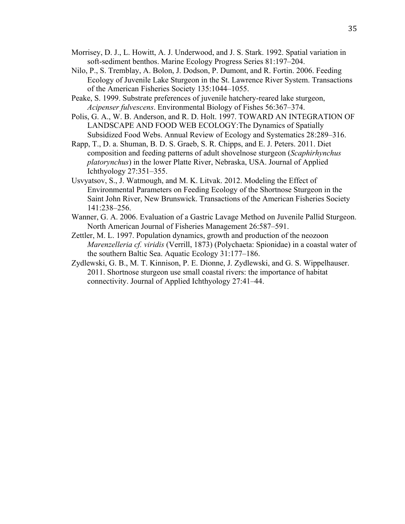- Morrisey, D. J., L. Howitt, A. J. Underwood, and J. S. Stark. 1992. Spatial variation in soft-sediment benthos. Marine Ecology Progress Series 81:197–204.
- Nilo, P., S. Tremblay, A. Bolon, J. Dodson, P. Dumont, and R. Fortin. 2006. Feeding Ecology of Juvenile Lake Sturgeon in the St. Lawrence River System. Transactions of the American Fisheries Society 135:1044–1055.
- Peake, S. 1999. Substrate preferences of juvenile hatchery-reared lake sturgeon, *Acipenser fulvescens*. Environmental Biology of Fishes 56:367–374.
- Polis, G. A., W. B. Anderson, and R. D. Holt. 1997. TOWARD AN INTEGRATION OF LANDSCAPE AND FOOD WEB ECOLOGY:The Dynamics of Spatially Subsidized Food Webs. Annual Review of Ecology and Systematics 28:289–316.
- Rapp, T., D. a. Shuman, B. D. S. Graeb, S. R. Chipps, and E. J. Peters. 2011. Diet composition and feeding patterns of adult shovelnose sturgeon (*Scaphirhynchus platorynchus*) in the lower Platte River, Nebraska, USA. Journal of Applied Ichthyology 27:351–355.
- Usvyatsov, S., J. Watmough, and M. K. Litvak. 2012. Modeling the Effect of Environmental Parameters on Feeding Ecology of the Shortnose Sturgeon in the Saint John River, New Brunswick. Transactions of the American Fisheries Society 141:238–256.
- Wanner, G. A. 2006. Evaluation of a Gastric Lavage Method on Juvenile Pallid Sturgeon. North American Journal of Fisheries Management 26:587–591.
- Zettler, M. L. 1997. Population dynamics, growth and production of the neozoon *Marenzelleria cf. viridis* (Verrill, 1873) (Polychaeta: Spionidae) in a coastal water of the southern Baltic Sea. Aquatic Ecology 31:177–186.
- Zydlewski, G. B., M. T. Kinnison, P. E. Dionne, J. Zydlewski, and G. S. Wippelhauser. 2011. Shortnose sturgeon use small coastal rivers: the importance of habitat connectivity. Journal of Applied Ichthyology 27:41–44.